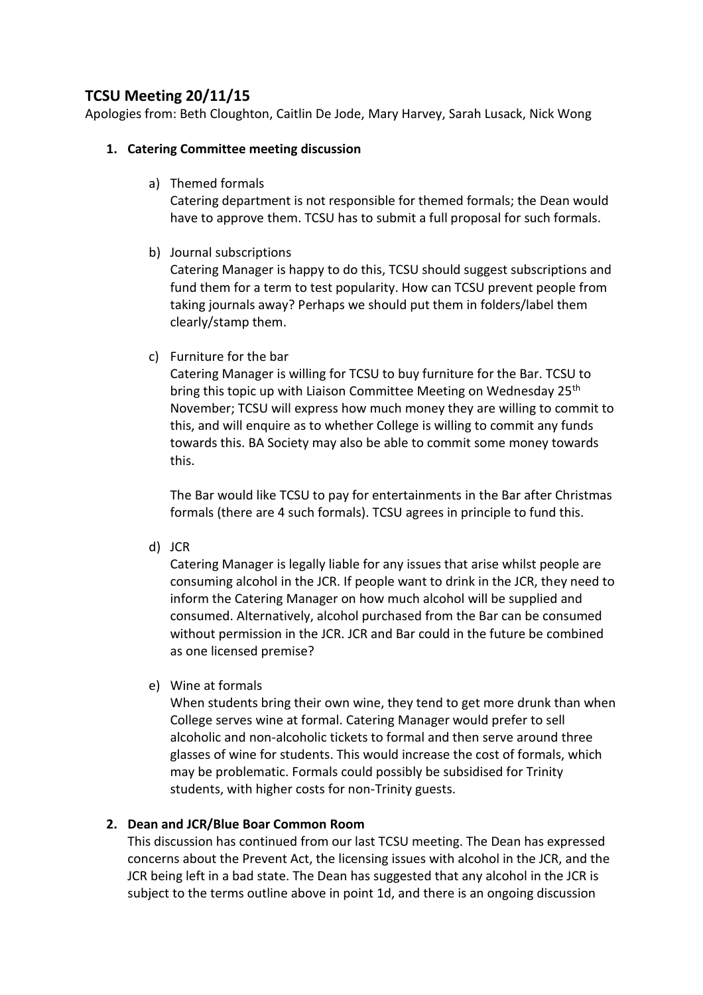# **TCSU Meeting 20/11/15**

Apologies from: Beth Cloughton, Caitlin De Jode, Mary Harvey, Sarah Lusack, Nick Wong

## **1. Catering Committee meeting discussion**

a) Themed formals

Catering department is not responsible for themed formals; the Dean would have to approve them. TCSU has to submit a full proposal for such formals.

b) Journal subscriptions

Catering Manager is happy to do this, TCSU should suggest subscriptions and fund them for a term to test popularity. How can TCSU prevent people from taking journals away? Perhaps we should put them in folders/label them clearly/stamp them.

c) Furniture for the bar

Catering Manager is willing for TCSU to buy furniture for the Bar. TCSU to bring this topic up with Liaison Committee Meeting on Wednesday 25<sup>th</sup> November; TCSU will express how much money they are willing to commit to this, and will enquire as to whether College is willing to commit any funds towards this. BA Society may also be able to commit some money towards this.

The Bar would like TCSU to pay for entertainments in the Bar after Christmas formals (there are 4 such formals). TCSU agrees in principle to fund this.

d) JCR

Catering Manager is legally liable for any issues that arise whilst people are consuming alcohol in the JCR. If people want to drink in the JCR, they need to inform the Catering Manager on how much alcohol will be supplied and consumed. Alternatively, alcohol purchased from the Bar can be consumed without permission in the JCR. JCR and Bar could in the future be combined as one licensed premise?

e) Wine at formals

When students bring their own wine, they tend to get more drunk than when College serves wine at formal. Catering Manager would prefer to sell alcoholic and non-alcoholic tickets to formal and then serve around three glasses of wine for students. This would increase the cost of formals, which may be problematic. Formals could possibly be subsidised for Trinity students, with higher costs for non-Trinity guests.

## **2. Dean and JCR/Blue Boar Common Room**

This discussion has continued from our last TCSU meeting. The Dean has expressed concerns about the Prevent Act, the licensing issues with alcohol in the JCR, and the JCR being left in a bad state. The Dean has suggested that any alcohol in the JCR is subject to the terms outline above in point 1d, and there is an ongoing discussion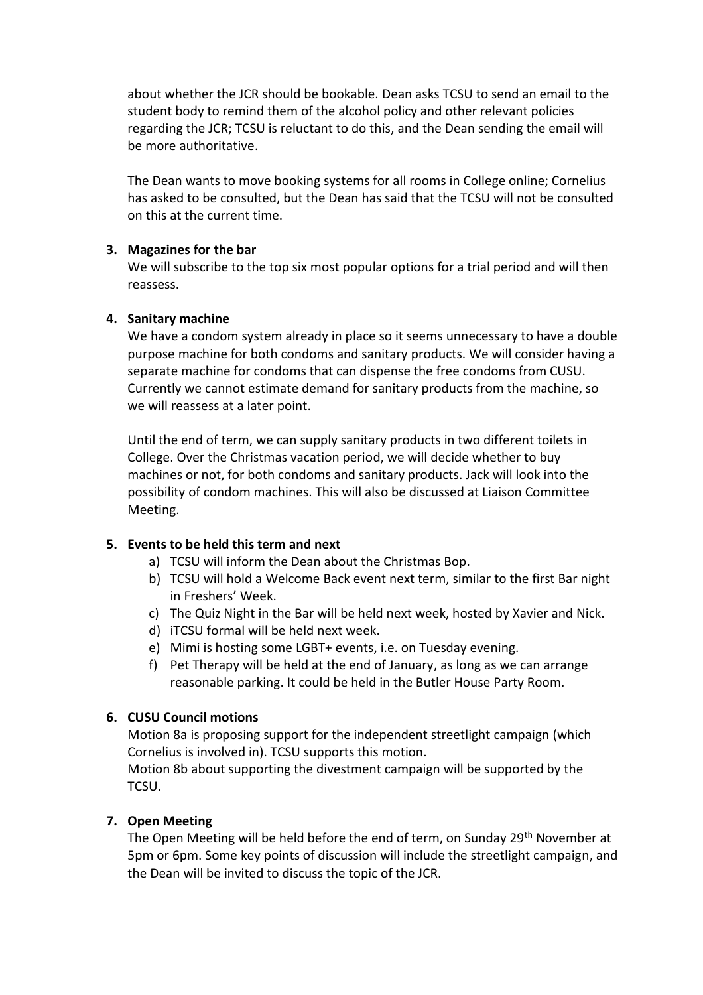about whether the JCR should be bookable. Dean asks TCSU to send an email to the student body to remind them of the alcohol policy and other relevant policies regarding the JCR; TCSU is reluctant to do this, and the Dean sending the email will be more authoritative.

The Dean wants to move booking systems for all rooms in College online; Cornelius has asked to be consulted, but the Dean has said that the TCSU will not be consulted on this at the current time.

#### **3. Magazines for the bar**

We will subscribe to the top six most popular options for a trial period and will then reassess.

## **4. Sanitary machine**

We have a condom system already in place so it seems unnecessary to have a double purpose machine for both condoms and sanitary products. We will consider having a separate machine for condoms that can dispense the free condoms from CUSU. Currently we cannot estimate demand for sanitary products from the machine, so we will reassess at a later point.

Until the end of term, we can supply sanitary products in two different toilets in College. Over the Christmas vacation period, we will decide whether to buy machines or not, for both condoms and sanitary products. Jack will look into the possibility of condom machines. This will also be discussed at Liaison Committee Meeting.

## **5. Events to be held this term and next**

- a) TCSU will inform the Dean about the Christmas Bop.
- b) TCSU will hold a Welcome Back event next term, similar to the first Bar night in Freshers' Week.
- c) The Quiz Night in the Bar will be held next week, hosted by Xavier and Nick.
- d) iTCSU formal will be held next week.
- e) Mimi is hosting some LGBT+ events, i.e. on Tuesday evening.
- f) Pet Therapy will be held at the end of January, as long as we can arrange reasonable parking. It could be held in the Butler House Party Room.

## **6. CUSU Council motions**

Motion 8a is proposing support for the independent streetlight campaign (which Cornelius is involved in). TCSU supports this motion.

Motion 8b about supporting the divestment campaign will be supported by the TCSU.

## **7. Open Meeting**

The Open Meeting will be held before the end of term, on Sunday 29<sup>th</sup> November at 5pm or 6pm. Some key points of discussion will include the streetlight campaign, and the Dean will be invited to discuss the topic of the JCR.